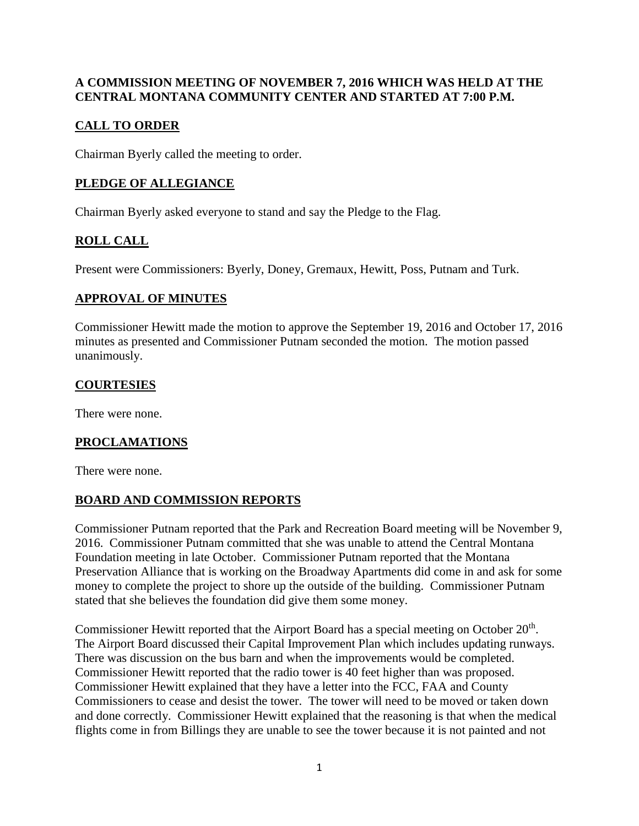## **A COMMISSION MEETING OF NOVEMBER 7, 2016 WHICH WAS HELD AT THE CENTRAL MONTANA COMMUNITY CENTER AND STARTED AT 7:00 P.M.**

# **CALL TO ORDER**

Chairman Byerly called the meeting to order.

## **PLEDGE OF ALLEGIANCE**

Chairman Byerly asked everyone to stand and say the Pledge to the Flag.

# **ROLL CALL**

Present were Commissioners: Byerly, Doney, Gremaux, Hewitt, Poss, Putnam and Turk.

#### **APPROVAL OF MINUTES**

Commissioner Hewitt made the motion to approve the September 19, 2016 and October 17, 2016 minutes as presented and Commissioner Putnam seconded the motion. The motion passed unanimously.

#### **COURTESIES**

There were none.

#### **PROCLAMATIONS**

There were none.

#### **BOARD AND COMMISSION REPORTS**

Commissioner Putnam reported that the Park and Recreation Board meeting will be November 9, 2016. Commissioner Putnam committed that she was unable to attend the Central Montana Foundation meeting in late October. Commissioner Putnam reported that the Montana Preservation Alliance that is working on the Broadway Apartments did come in and ask for some money to complete the project to shore up the outside of the building. Commissioner Putnam stated that she believes the foundation did give them some money.

Commissioner Hewitt reported that the Airport Board has a special meeting on October 20<sup>th</sup>. The Airport Board discussed their Capital Improvement Plan which includes updating runways. There was discussion on the bus barn and when the improvements would be completed. Commissioner Hewitt reported that the radio tower is 40 feet higher than was proposed. Commissioner Hewitt explained that they have a letter into the FCC, FAA and County Commissioners to cease and desist the tower. The tower will need to be moved or taken down and done correctly. Commissioner Hewitt explained that the reasoning is that when the medical flights come in from Billings they are unable to see the tower because it is not painted and not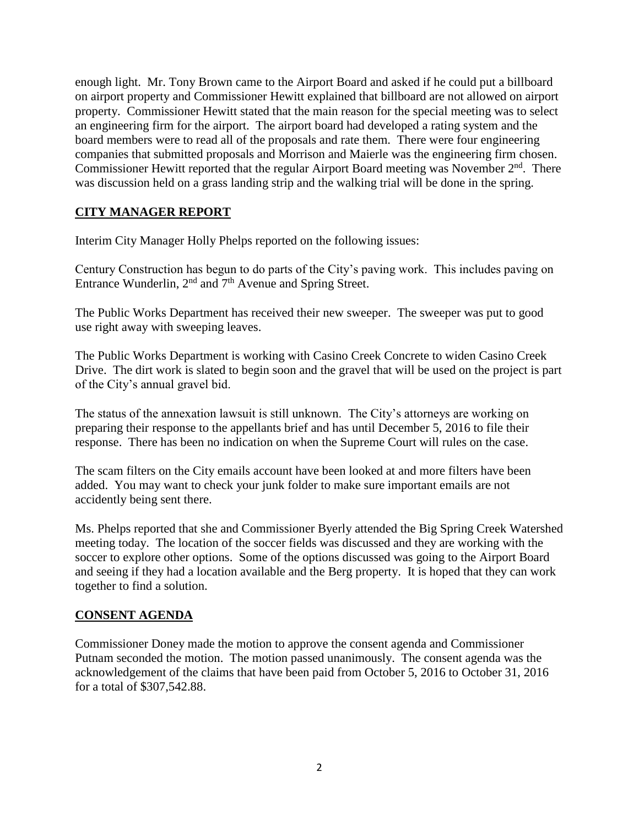enough light. Mr. Tony Brown came to the Airport Board and asked if he could put a billboard on airport property and Commissioner Hewitt explained that billboard are not allowed on airport property. Commissioner Hewitt stated that the main reason for the special meeting was to select an engineering firm for the airport. The airport board had developed a rating system and the board members were to read all of the proposals and rate them. There were four engineering companies that submitted proposals and Morrison and Maierle was the engineering firm chosen. Commissioner Hewitt reported that the regular Airport Board meeting was November  $2<sup>nd</sup>$ . There was discussion held on a grass landing strip and the walking trial will be done in the spring.

## **CITY MANAGER REPORT**

Interim City Manager Holly Phelps reported on the following issues:

Century Construction has begun to do parts of the City's paving work. This includes paving on Entrance Wunderlin, 2<sup>nd</sup> and 7<sup>th</sup> Avenue and Spring Street.

The Public Works Department has received their new sweeper. The sweeper was put to good use right away with sweeping leaves.

The Public Works Department is working with Casino Creek Concrete to widen Casino Creek Drive. The dirt work is slated to begin soon and the gravel that will be used on the project is part of the City's annual gravel bid.

The status of the annexation lawsuit is still unknown. The City's attorneys are working on preparing their response to the appellants brief and has until December 5, 2016 to file their response. There has been no indication on when the Supreme Court will rules on the case.

The scam filters on the City emails account have been looked at and more filters have been added. You may want to check your junk folder to make sure important emails are not accidently being sent there.

Ms. Phelps reported that she and Commissioner Byerly attended the Big Spring Creek Watershed meeting today. The location of the soccer fields was discussed and they are working with the soccer to explore other options. Some of the options discussed was going to the Airport Board and seeing if they had a location available and the Berg property. It is hoped that they can work together to find a solution.

#### **CONSENT AGENDA**

Commissioner Doney made the motion to approve the consent agenda and Commissioner Putnam seconded the motion. The motion passed unanimously. The consent agenda was the acknowledgement of the claims that have been paid from October 5, 2016 to October 31, 2016 for a total of \$307,542.88.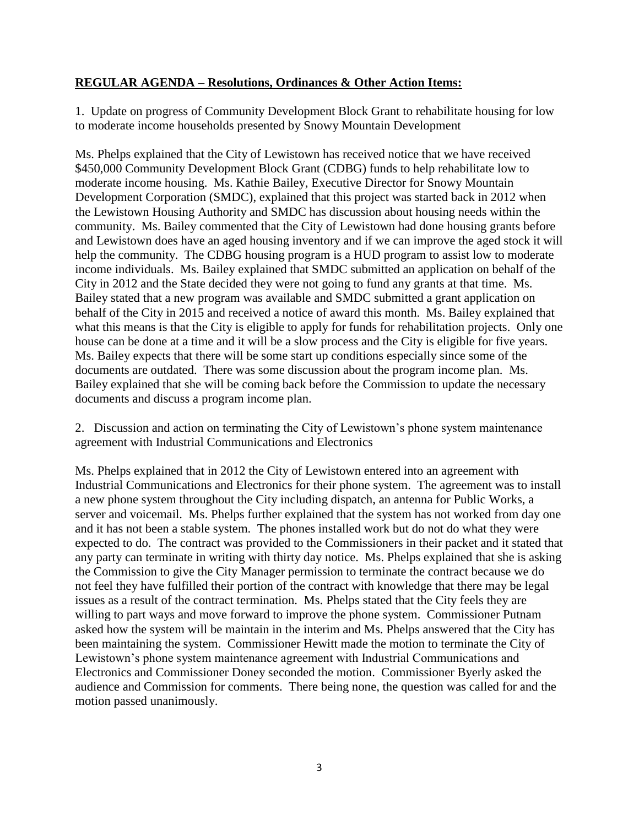#### **REGULAR AGENDA – Resolutions, Ordinances & Other Action Items:**

1. Update on progress of Community Development Block Grant to rehabilitate housing for low to moderate income households presented by Snowy Mountain Development

Ms. Phelps explained that the City of Lewistown has received notice that we have received \$450,000 Community Development Block Grant (CDBG) funds to help rehabilitate low to moderate income housing. Ms. Kathie Bailey, Executive Director for Snowy Mountain Development Corporation (SMDC), explained that this project was started back in 2012 when the Lewistown Housing Authority and SMDC has discussion about housing needs within the community. Ms. Bailey commented that the City of Lewistown had done housing grants before and Lewistown does have an aged housing inventory and if we can improve the aged stock it will help the community. The CDBG housing program is a HUD program to assist low to moderate income individuals. Ms. Bailey explained that SMDC submitted an application on behalf of the City in 2012 and the State decided they were not going to fund any grants at that time. Ms. Bailey stated that a new program was available and SMDC submitted a grant application on behalf of the City in 2015 and received a notice of award this month. Ms. Bailey explained that what this means is that the City is eligible to apply for funds for rehabilitation projects. Only one house can be done at a time and it will be a slow process and the City is eligible for five years. Ms. Bailey expects that there will be some start up conditions especially since some of the documents are outdated. There was some discussion about the program income plan. Ms. Bailey explained that she will be coming back before the Commission to update the necessary documents and discuss a program income plan.

2. Discussion and action on terminating the City of Lewistown's phone system maintenance agreement with Industrial Communications and Electronics

Ms. Phelps explained that in 2012 the City of Lewistown entered into an agreement with Industrial Communications and Electronics for their phone system. The agreement was to install a new phone system throughout the City including dispatch, an antenna for Public Works, a server and voicemail. Ms. Phelps further explained that the system has not worked from day one and it has not been a stable system. The phones installed work but do not do what they were expected to do. The contract was provided to the Commissioners in their packet and it stated that any party can terminate in writing with thirty day notice. Ms. Phelps explained that she is asking the Commission to give the City Manager permission to terminate the contract because we do not feel they have fulfilled their portion of the contract with knowledge that there may be legal issues as a result of the contract termination. Ms. Phelps stated that the City feels they are willing to part ways and move forward to improve the phone system. Commissioner Putnam asked how the system will be maintain in the interim and Ms. Phelps answered that the City has been maintaining the system. Commissioner Hewitt made the motion to terminate the City of Lewistown's phone system maintenance agreement with Industrial Communications and Electronics and Commissioner Doney seconded the motion. Commissioner Byerly asked the audience and Commission for comments. There being none, the question was called for and the motion passed unanimously.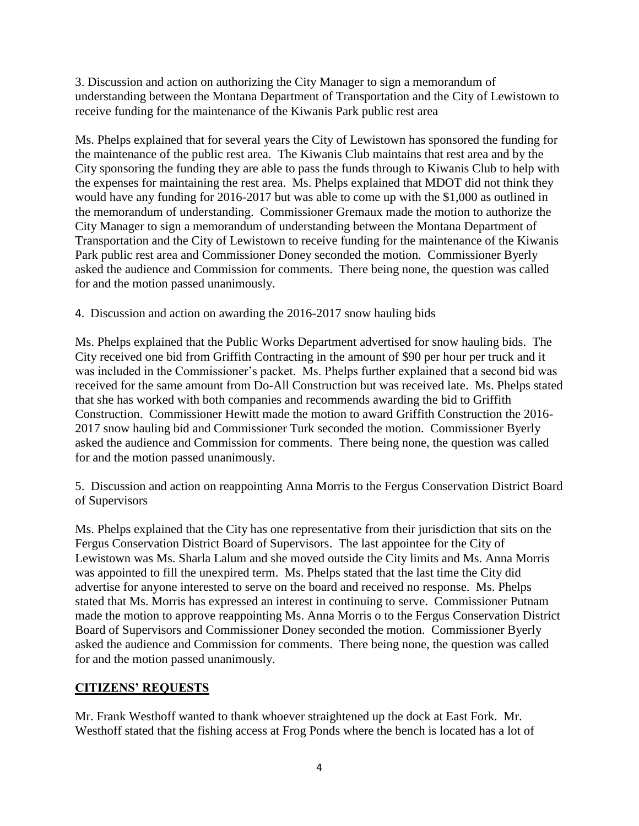3. Discussion and action on authorizing the City Manager to sign a memorandum of understanding between the Montana Department of Transportation and the City of Lewistown to receive funding for the maintenance of the Kiwanis Park public rest area

Ms. Phelps explained that for several years the City of Lewistown has sponsored the funding for the maintenance of the public rest area. The Kiwanis Club maintains that rest area and by the City sponsoring the funding they are able to pass the funds through to Kiwanis Club to help with the expenses for maintaining the rest area. Ms. Phelps explained that MDOT did not think they would have any funding for 2016-2017 but was able to come up with the \$1,000 as outlined in the memorandum of understanding. Commissioner Gremaux made the motion to authorize the City Manager to sign a memorandum of understanding between the Montana Department of Transportation and the City of Lewistown to receive funding for the maintenance of the Kiwanis Park public rest area and Commissioner Doney seconded the motion. Commissioner Byerly asked the audience and Commission for comments. There being none, the question was called for and the motion passed unanimously.

4. Discussion and action on awarding the 2016-2017 snow hauling bids

Ms. Phelps explained that the Public Works Department advertised for snow hauling bids. The City received one bid from Griffith Contracting in the amount of \$90 per hour per truck and it was included in the Commissioner's packet. Ms. Phelps further explained that a second bid was received for the same amount from Do-All Construction but was received late. Ms. Phelps stated that she has worked with both companies and recommends awarding the bid to Griffith Construction. Commissioner Hewitt made the motion to award Griffith Construction the 2016- 2017 snow hauling bid and Commissioner Turk seconded the motion. Commissioner Byerly asked the audience and Commission for comments. There being none, the question was called for and the motion passed unanimously.

5. Discussion and action on reappointing Anna Morris to the Fergus Conservation District Board of Supervisors

Ms. Phelps explained that the City has one representative from their jurisdiction that sits on the Fergus Conservation District Board of Supervisors. The last appointee for the City of Lewistown was Ms. Sharla Lalum and she moved outside the City limits and Ms. Anna Morris was appointed to fill the unexpired term. Ms. Phelps stated that the last time the City did advertise for anyone interested to serve on the board and received no response. Ms. Phelps stated that Ms. Morris has expressed an interest in continuing to serve. Commissioner Putnam made the motion to approve reappointing Ms. Anna Morris o to the Fergus Conservation District Board of Supervisors and Commissioner Doney seconded the motion. Commissioner Byerly asked the audience and Commission for comments. There being none, the question was called for and the motion passed unanimously.

#### **CITIZENS' REQUESTS**

Mr. Frank Westhoff wanted to thank whoever straightened up the dock at East Fork. Mr. Westhoff stated that the fishing access at Frog Ponds where the bench is located has a lot of